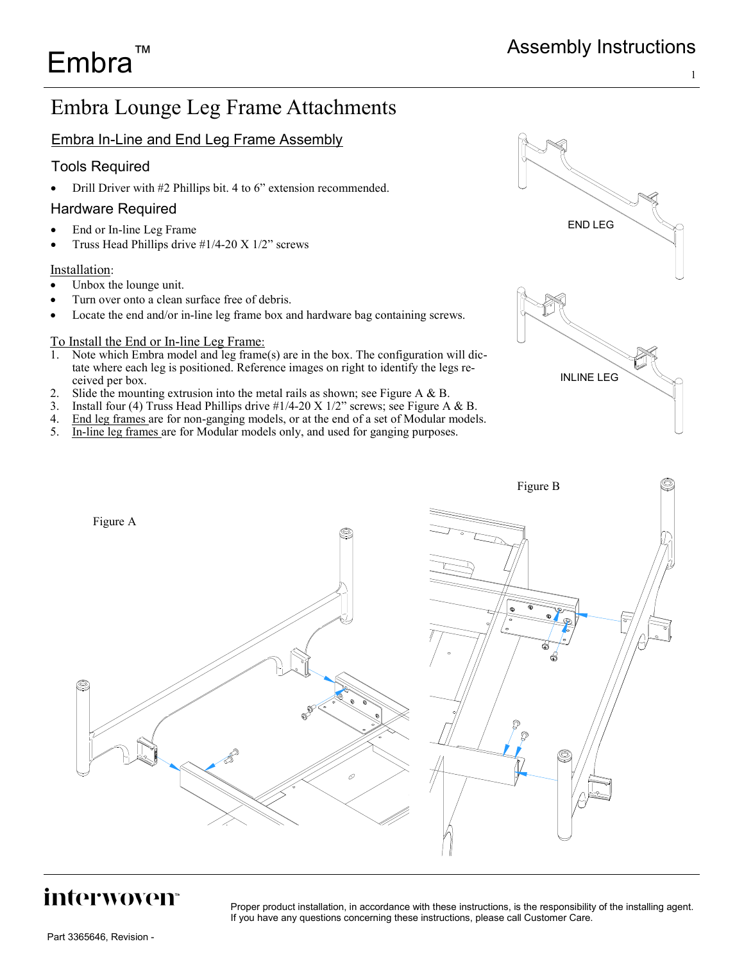END LEG

INLINE LEG

# Embra Lounge Leg Frame Attachments

## Embra In-Line and End Leg Frame Assembly

## Tools Required

Embra™

• Drill Driver with #2 Phillips bit. 4 to 6" extension recommended.

## Hardware Required

- End or In-line Leg Frame
- Truss Head Phillips drive #1/4-20 X 1/2" screws

#### Installation:

- Unbox the lounge unit.
- Turn over onto a clean surface free of debris.
- Locate the end and/or in-line leg frame box and hardware bag containing screws.

#### To Install the End or In-line Leg Frame:

- 1. Note which Embra model and leg frame(s) are in the box. The configuration will dictate where each leg is positioned. Reference images on right to identify the legs received per box.
- 2. Slide the mounting extrusion into the metal rails as shown; see Figure A & B.
- 3. Install four (4) Truss Head Phillips drive  $\frac{\#1}{4-20}$  X  $\frac{1}{2}$ " screws; see Figure A & B.
- 4. End leg frames are for non-ganging models, or at the end of a set of Modular models.
- 5. In-line leg frames are for Modular models only, and used for ganging purposes.



# interwoven<sup>®</sup>

Proper product installation, in accordance with these instructions, is the responsibility of the installing agent. If you have any questions concerning these instructions, please call Customer Care.